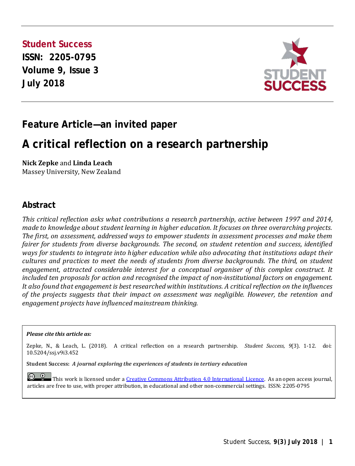**Student Success ISSN: 2205-0795 Volume 9, Issue 3 July 2018** 



## **Feature Article—an invited paper**

## **A critical reflection on a research partnership**

**Nick Zepke** and **Linda Leach**

Massey University, New Zealand

#### **Abstract**

*This critical reflection asks what contributions a research partnership, active between 1997 and 2014, made to knowledge about student learning in higher education. It focuses on three overarching projects. The first, on assessment, addressed ways to empower students in assessment processes and make them fairer for students from diverse backgrounds. The second, on student retention and success, identified ways for students to integrate into higher education while also advocating that institutions adapt their cultures and practices to meet the needs of students from diverse backgrounds. The third, on student engagement, attracted considerable interest for a conceptual organiser of this complex construct. It included ten proposals for action and recognised the impact of non-institutional factors on engagement. It also found that engagement is best researched within institutions. A critical reflection on the influences of the projects suggests that their impact on assessment was negligible. However, the retention and engagement projects have influenced mainstream thinking.*

#### *Please cite this article as:*

Zepke, N., & Leach, L. (2018). A critical reflection on a research partnership. *Student Success, 9*(3). 1-12. doi: 10.5204/ssj.v9i3.452

**Student Success:** *A journal exploring the experiences of students in tertiary education*

**C C This work is licensed under a <u>Creative Commons Attribution 4.0 International Licence</u>. As an open access journal,** articles are free to use, with proper attribution, in educational and other non-commercial settings. ISSN: 2205-0795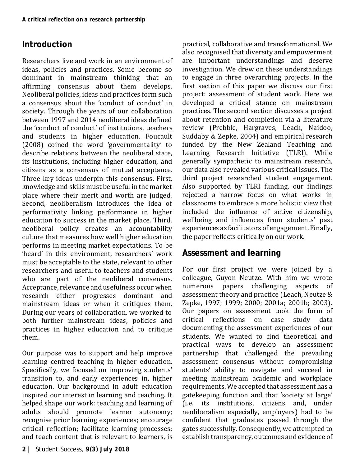### **Introduction**

Researchers live and work in an environment of ideas, policies and practices. Some become so dominant in mainstream thinking that an affirming consensus about them develops. Neoliberal policies, ideas and practices form such a consensus about the 'conduct of conduct' in society. Through the years of our collaboration between 1997 and 2014 neoliberal ideas defined the 'conduct of conduct' of institutions, teachers and students in higher education. Foucault (2008) coined the word 'governmentality' to describe relations between the neoliberal state, its institutions, including higher education, and citizens as a consensus of mutual acceptance. Three key ideas underpin this consensus. First, knowledge and skills must be useful in the market place where their merit and worth are judged. Second, neoliberalism introduces the idea of performativity linking performance in higher education to success in the market place. Third, neoliberal policy creates an accountability culture that measures how well higher education performs in meeting market expectations. To be 'heard' in this environment, researchers' work must be acceptable to the state, relevant to other researchers and useful to teachers and students who are part of the neoliberal consensus. Acceptance, relevance and usefulness occur when research either progresses dominant and mainstream ideas or when it critiques them. During our years of collaboration, we worked to both further mainstream ideas, policies and practices in higher education and to critique them.

Our purpose was to support and help improve learning centred teaching in higher education. Specifically, we focused on improving students' transition to, and early experiences in, higher education. Our background in adult education inspired our interest in learning and teaching. It helped shape our work: teaching and learning of adults should promote learner autonomy; recognise prior learning experiences; encourage critical reflection; facilitate learning processes; and teach content that is relevant to learners, is practical, collaborative and transformational. We also recognised that diversity and empowerment are important understandings and deserve investigation. We drew on these understandings to engage in three overarching projects. In the first section of this paper we discuss our first project: assessment of student work. Here we developed a critical stance on mainstream practices. The second section discusses a project about retention and completion via a literature review (Prebble, Hargraves, Leach, Naidoo, Suddaby & Zepke, 2004) and empirical research funded by the New Zealand Teaching and Learning Research Initiative (TLRI). While generally sympathetic to mainstream research, our data also revealed various critical issues. The third project researched student engagement. Also supported by TLRI funding, our findings rejected a narrow focus on what works in classrooms to embrace a more holistic view that included the influence of active citizenship, wellbeing and influences from students' past experiences as facilitators of engagement. Finally, the paper reflects critically on our work.

### **Assessment and learning**

For our first project we were joined by a colleague, Guyon Neutze. With him we wrote papers challenging aspects of assessment theory and practice (Leach, Neutze & Zepke, 1997; 1999; 2000; 2001a; 2001b; 2003). Our papers on assessment took the form of<br>critical reflections on case study data critical reflections documenting the assessment experiences of our students. We wanted to find theoretical and practical ways to develop an assessment partnership that challenged the prevailing assessment consensus without compromising students' ability to navigate and succeed in meeting mainstream academic and workplace requirements. We accepted that assessment has a gatekeeping function and that 'society at large' (i.e. its institutions, citizens and, under neoliberalism especially, employers) had to be confident that graduates passed through the gates successfully. Consequently, we attempted to establish transparency, outcomes and evidence of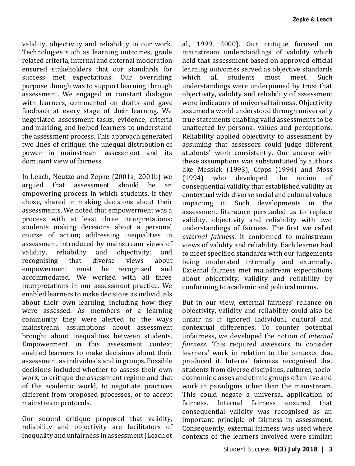validity, objectivity and reliability in our work. Technologies such as learning outcomes, grade related criteria, internal and external moderation ensured stakeholders that our standards for success met expectations. Our overriding purpose though was to support learning through assessment. We engaged in constant dialogue with learners, commented on drafts and gave feedback at every stage of their learning. We negotiated assessment tasks, evidence, criteria and marking, and helped learners to understand the assessment process. This approach generated two lines of critique: the unequal distribution of power in mainstream assessment and its dominant view of fairness.

In Leach, Neutze and Zepke (2001a; 2001b) we that assessment empowering process in which students, if they chose, shared in making decisions about their assessments. We noted that empowerment was a process with at least three interpretations: students making decisions about a personal course of action; addressing inequalities in assessment introduced by mainstream views of<br>validity, reliability and objectivity; and ability and objectivity; and<br>that diverse views about recognising that diverse views about<br>empowerment must be recognised and empowerment accommodated. We worked with all three interpretations in our assessment practice. We enabled learners to make decisions as individuals about their own learning, including how they were assessed. As members of a learning community they were alerted to the ways mainstream assumptions about assessment brought about inequalities between students. Empowerment in this assessment context enabled learners to make decisions about their assessment as individuals and in groups. Possible decisions included whether to assess their own work, to critique the assessment regime and that of the academic world, to negotiate practices different from proposed processes, or to accept mainstream protocols.

Our second critique proposed that validity, reliability and objectivity are facilitators of inequality and unfairness in assessment (Leach et al., 1999, 2000). Our critique focused on mainstream understandings of validity which held that assessment based on approved official learning outcomes served as objective standards which all students must meet. Such understandings were underpinned by trust that objectivity, validity and reliability of assessment were indicators of universal fairness. Objectivity assumed a world understood through universally true statements enabling valid assessments to be unaffected by personal values and perceptions. Reliability applied objectivity to assessment by assuming that assessors could judge different students' work consistently. Our unease with these assumptions was substantiated by authors like Messick (1993), Gipps (1994) and Moss (1994) who developed the notion of consequential validity that established validity as contextual with diverse social and cultural values impacting it. Such developments in the assessment literature persuaded us to replace validity, objectivity and reliability with two understandings of fairness. The first we called *external fairness*. It conformed to mainstream views of validity and reliability. Each learner had to meet specified standards with our judgements being moderated internally and externally. External fairness met mainstream expectations about objectivity, validity and reliability by conforming to academic and political norms.

But in our view, external fairness' reliance on objectivity, validity and reliability could also be unfair as it ignored individual, cultural and contextual differences. To counter potential unfairness, we developed the notion of *internal fairness.* This required assessors to consider learners' work in relation to the contexts that produced it. Internal fairness recognised that students from diverse disciplines, cultures, socioeconomic classes and ethnic groups often live and work in paradigms other than the mainstream. This could negate a universal application of fairness. Internal fairness ensured that Internal fairness ensured that consequential validity was recognised as an important principle of fairness in assessment. Consequently, external fairness was used where contexts of the learners involved were similar;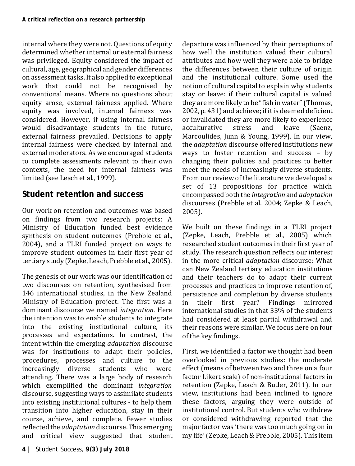internal where they were not. Questions of equity determined whether internal or external fairness was privileged. Equity considered the impact of cultural, age, geographical and gender differences on assessment tasks. It also applied to exceptional work that could not be recognised by conventional means. Where no questions about equity arose, external fairness applied. Where equity was involved, internal fairness was considered. However, if using internal fairness would disadvantage students in the future, external fairness prevailed. Decisions to apply internal fairness were checked by internal and external moderators. As we encouraged students to complete assessments relevant to their own contexts, the need for internal fairness was limited (see Leach et al., 1999).

### **Student retention and success**

Our work on retention and outcomes was based on findings from two research projects: A Ministry of Education funded best evidence synthesis on student outcomes (Prebble et al., 2004), and a TLRI funded project on ways to improve student outcomes in their first year of tertiary study (Zepke, Leach, Prebble et al., 2005).

The genesis of our work was our identification of two discourses on retention, synthesised from 146 international studies, in the New Zealand Ministry of Education project. The first was a dominant discourse we named *integration.* Here the intention was to enable students to integrate into the existing institutional culture, its processes and expectations. In contrast, the intent within the emerging *adaptation* discourse was for institutions to adapt their policies, procedures, processes and culture to the increasingly diverse students who were attending. There was a large body of research which exemplified the dominant *integration* discourse, suggesting ways to assimilate students into existing institutional cultures - to help them transition into higher education, stay in their course, achieve, and complete. Fewer studies reflected the *adaptation* discourse. This emerging and critical view suggested that student departure was influenced by their perceptions of how well the institution valued their cultural attributes and how well they were able to bridge the differences between their culture of origin and the institutional culture. Some used the notion of cultural capital to explain why students stay or leave: if their cultural capital is valued they are more likely to be "fish in water" (Thomas, 2002, p. 431) and achieve; if it is deemed deficient or invalidated they are more likely to experience<br>acculturative stress and leave (Saenz. acculturative Marcoulides, Junn & Young, 1999). In our view, the *adaptation* discourse offered institutions new ways to foster retention and success – by changing their policies and practices to better meet the needs of increasingly diverse students. From our review of the literature we developed a set of 13 propositions for practice which encompassed both the *integration* and *adaptation* discourses (Prebble et al. 2004; Zepke & Leach, 2005).

We built on these findings in a TLRI project (Zepke, Leach, Prebble et al., 2005) which researched student outcomes in their first year of study. The research question reflects our interest in the more critical *adaptation* discourse: What can New Zealand tertiary education institutions and their teachers do to adapt their current processes and practices to improve retention of, persistence and completion by diverse students<br>in their first year? Findings mirrored vear? Findings international studies in that 33% of the students had considered at least partial withdrawal and their reasons were similar. We focus here on four of the key findings.

First, we identified a factor we thought had been overlooked in previous studies: the moderate effect (means of between two and three on a four factor Likert scale) of non-institutional factors in retention (Zepke, Leach & Butler, 2011). In our view, institutions had been inclined to ignore these factors, arguing they were outside of institutional control. But students who withdrew or considered withdrawing reported that the major factor was 'there was too much going on in my life' (Zepke, Leach & Prebble, 2005). This item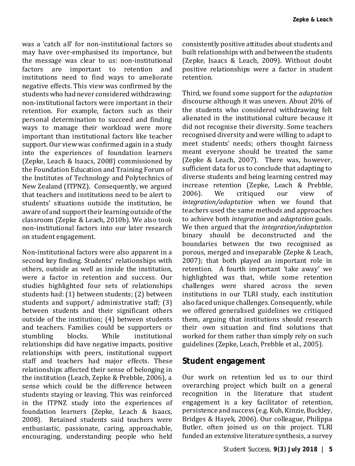was a 'catch all' for non-institutional factors so may have over-emphasised its importance, but the message was clear to us: non-institutional<br>factors are important to retention and are important to retention institutions need to find ways to ameliorate negative effects. This view was confirmed by the students who had never considered withdrawing: non-institutional factors were important in their retention. For example, factors such as their personal determination to succeed and finding ways to manage their workload were more important than institutional factors like teacher support. Our view was confirmed again in a study into the experiences of foundation learners (Zepke, Leach & Isaacs, 2008) commissioned by the Foundation Education and Training Forum of the Institutes of Technology and Polytechnics of New Zealand (ITPNZ). Consequently, we argued that teachers and institutions need to be alert to students' situations outside the institution, be aware of and support their learning outside of the classroom (Zepke & Leach, 2010b). We also took non-institutional factors into our later research on student engagement.

Non-institutional factors were also apparent in a second key finding. Students' relationships with others, outside as well as inside the institution, were a factor in retention and success. Our studies highlighted four sets of relationships students had: (1) between students; (2) between students and support/ administrative staff; (3) between students and their significant others outside of the institution; (4) between students and teachers. Families could be supporters or<br>stumbling blocks. While institutional institutional relationships did have negative impacts, positive relationships with peers, institutional support staff and teachers had major effects. These relationships affected their sense of belonging in the institution (Leach, Zepke & Prebble, 2006), a sense which could be the difference between students staying or leaving. This was reinforced in the ITPNZ study into the experiences of foundation learners (Zepke, Leach & Isaacs, 2008). Retained students said teachers were enthusiastic, passionate, caring, approachable, encouraging, understanding people who held

consistently positive attitudes about students and built relationships with and between the students (Zepke, Isaacs & Leach, 2009). Without doubt positive relationships were a factor in student retention.

Third, we found some support for the *adaptation* discourse although it was uneven. About 20% of the students who considered withdrawing felt alienated in the institutional culture because it did not recognise their diversity. Some teachers recognised diversity and were willing to adapt to meet students' needs; others thought fairness meant everyone should be treated the same (Zepke & Leach, 2007). There was, however, sufficient data for us to conclude that adapting to diverse students and being learning centred may increase retention (Zepke, Leach & Prebble,<br>2006). We critiqued our view of critiqued *integration/adaptation* when we found that teachers used the same methods and approaches to achieve both *integration* and *adaptation* goals. We then argued that the *integration/adaptation* binary should be deconstructed and the boundaries between the two recognised as porous, merged and inseparable (Zepke & Leach, 2007); that both played an important role in retention. A fourth important 'take away' we highlighted was that, while some retention challenges were shared across the seven institutions in our TLRI study, each institution also faced unique challenges. Consequently, while we offered generalised guidelines we critiqued them, arguing that institutions should research their own situation and find solutions that worked for them rather than simply rely on such guidelines (Zepke, Leach, Prebble et al., 2005).

#### **Student engagement**

Our work on retention led us to our third overarching project which built on a general recognition in the literature that student engagement is a key facilitator of retention, persistence and success (e.g. Kuh, Kinzie, Buckley, Bridges & Hayek, 2006). Our colleague, Philippa Butler, often joined us on this project. TLRI funded an extensive literature synthesis, a survey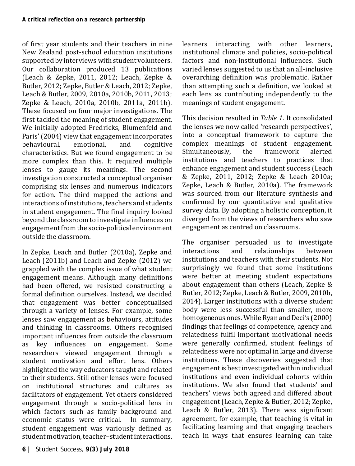of first year students and their teachers in nine New Zealand post-school education institutions supported by interviews with student volunteers. Our collaboration produced 13 publications (Leach & Zepke, 2011, 2012; Leach, Zepke & Butler, 2012; Zepke, Butler & Leach, 2012; Zepke, Leach & Butler, 2009, 2010a, 2010b, 2011, 2013; Zepke & Leach, 2010a, 2010b, 2011a, 2011b). These focused on four major investigations. The first tackled the meaning of student engagement. We initially adopted Fredricks, Blumenfeld and Paris' (2004) view that engagement incorporates<br>behavioural. emotional. and cognitive behavioural, emotional, and cognitive characteristics. But we found engagement to be more complex than this. It required multiple lenses to gauge its meanings. The second investigation constructed a conceptual organiser comprising six lenses and numerous indicators for action. The third mapped the actions and interactions of institutions, teachers and students in student engagement. The final inquiry looked beyond the classroom to investigate influences on engagement from the socio-political environment outside the classroom.

In Zepke, Leach and Butler (2010a), Zepke and Leach (2011b) and Leach and Zepke (2012) we grappled with the complex issue of what student engagement means. Although many definitions had been offered, we resisted constructing a formal definition ourselves. Instead, we decided that engagement was better conceptualised through a variety of lenses. For example, some lenses saw engagement as behaviours, attitudes and thinking in classrooms. Others recognised important influences from outside the classroom as key influences on engagement. Some researchers viewed engagement through a student motivation and effort lens. Others highlighted the way educators taught and related to their students. Still other lenses were focused on institutional structures and cultures as facilitators of engagement. Yet others considered engagement through a socio-political lens in which factors such as family background and economic status were critical. In summary, student engagement was variously defined as student motivation, teacher–student interactions, learners interacting with other learners, institutional climate and policies, socio-political factors and non-institutional influences. Such varied lenses suggested to us that an all-inclusive overarching definition was problematic. Rather than attempting such a definition, we looked at each lens as contributing independently to the meanings of student engagement.

This decision resulted in *Table 1*. It consolidated the lenses we now called 'research perspectives', into a conceptual framework to capture the complex meanings of student engagement.<br>Simultaneously, the framework alerted Simultaneously. institutions and teachers to practices that enhance engagement and student success (Leach & Zepke, 2011, 2012; Zepke & Leach 2010a; Zepke, Leach & Butler, 2010a). The framework was sourced from our literature synthesis and confirmed by our quantitative and qualitative survey data. By adopting a holistic conception, it diverged from the views of researchers who saw engagement as centred on classrooms.

The organiser persuaded us to investigate<br>interactions and relationships between interactions and relationships between institutions and teachers with their students. Not surprisingly we found that some institutions were better at meeting student expectations about engagement than others (Leach, Zepke & Butler, 2012; Zepke, Leach & Butler, 2009, 2010b, 2014). Larger institutions with a diverse student body were less successful than smaller, more homogeneous ones. While Ryan and Deci's (2000) findings that feelings of competence, agency and relatedness fulfil important motivational needs were generally confirmed, student feelings of relatedness were not optimal in large and diverse institutions. These discoveries suggested that engagement is best investigated within individual institutions and even individual cohorts within institutions. We also found that students' and teachers' views both agreed and differed about engagement (Leach, Zepke & Butler, 2012; Zepke, Leach & Butler, 2013). There was significant agreement, for example, that teaching is vital in facilitating learning and that engaging teachers teach in ways that ensures learning can take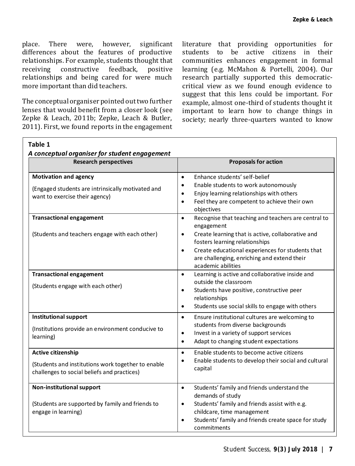place. There were, however, significant differences about the features of productive relationships. For example, students thought that<br>receiving constructive feedback positive constructive relationships and being cared for were much more important than did teachers.

The conceptual organiser pointed out two further lenses that would benefit from a closer look (see Zepke & Leach, 2011b; Zepke, Leach & Butler, 2011). First, we found reports in the engagement literature that providing opportunities for students to be active citizens in their communities enhances engagement in formal learning (e.g. McMahon & Portelli, 2004). Our research partially supported this democraticcritical view as we found enough evidence to suggest that this lens could be important. For example, almost one-third of students thought it important to learn how to change things in society; nearly three-quarters wanted to know

| Table 1<br>A conceptual organiser for student engagement                                                                |                                                                                                                                                                                                                                                                                                                          |
|-------------------------------------------------------------------------------------------------------------------------|--------------------------------------------------------------------------------------------------------------------------------------------------------------------------------------------------------------------------------------------------------------------------------------------------------------------------|
| <b>Research perspectives</b>                                                                                            | <b>Proposals for action</b>                                                                                                                                                                                                                                                                                              |
| <b>Motivation and agency</b><br>(Engaged students are intrinsically motivated and<br>want to exercise their agency)     | Enhance students' self-belief<br>$\bullet$<br>Enable students to work autonomously<br>$\bullet$<br>Enjoy learning relationships with others<br>$\bullet$<br>Feel they are competent to achieve their own<br>$\bullet$<br>objectives                                                                                      |
| <b>Transactional engagement</b><br>(Students and teachers engage with each other)                                       | Recognise that teaching and teachers are central to<br>$\bullet$<br>engagement<br>Create learning that is active, collaborative and<br>$\bullet$<br>fosters learning relationships<br>Create educational experiences for students that<br>$\bullet$<br>are challenging, enriching and extend their<br>academic abilities |
| <b>Transactional engagement</b><br>(Students engage with each other)                                                    | Learning is active and collaborative inside and<br>$\bullet$<br>outside the classroom<br>Students have positive, constructive peer<br>$\bullet$<br>relationships<br>Students use social skills to engage with others<br>$\bullet$                                                                                        |
| <b>Institutional support</b><br>(Institutions provide an environment conducive to<br>learning)                          | Ensure institutional cultures are welcoming to<br>$\bullet$<br>students from diverse backgrounds<br>Invest in a variety of support services<br>$\bullet$<br>Adapt to changing student expectations<br>$\bullet$                                                                                                          |
| Active citizenship<br>(Students and institutions work together to enable<br>challenges to social beliefs and practices) | Enable students to become active citizens<br>$\bullet$<br>Enable students to develop their social and cultural<br>$\bullet$<br>capital                                                                                                                                                                                   |
| Non-institutional support<br>(Students are supported by family and friends to<br>engage in learning)                    | Students' family and friends understand the<br>$\bullet$<br>demands of study<br>Students' family and friends assist with e.g.<br>$\bullet$<br>childcare, time management<br>Students' family and friends create space for study<br>$\bullet$<br>commitments                                                              |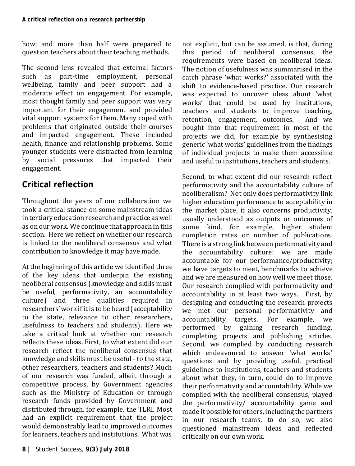how; and more than half were prepared to question teachers about their teaching methods.

The second lens revealed that external factors<br>such as part-time employment. personal part-time employment, personal wellbeing, family and peer support had a moderate effect on engagement. For example, most thought family and peer support was very important for their engagement and provided vital support systems for them. Many coped with problems that originated outside their courses and impacted engagement. These included health, finance and relationship problems. Some younger students were distracted from learning by social pressures that impacted their engagement.

### **Critical reflection**

Throughout the years of our collaboration we took a critical stance on some mainstream ideas in tertiary education research and practice as well as on our work. We continue that approach in this section. Here we reflect on whether our research is linked to the neoliberal consensus and what contribution to knowledge it may have made.

At the beginning of this article we identified three of the key ideas that underpin the existing neoliberal consensus (knowledge and skills must be useful, performativity, an accountability culture) and three qualities required in researchers' work if it is to be heard (acceptability to the state, relevance to other researchers, usefulness to teachers and students). Here we take a critical look at whether our research reflects these ideas. First, to what extent did our research reflect the neoliberal consensus that knowledge and skills must be useful - to the state, other researchers, teachers and students? Much of our research was funded, albeit through a competitive process, by Government agencies such as the Ministry of Education or through research funds provided by Government and distributed through, for example, the TLRI. Most had an explicit requirement that the project would demonstrably lead to improved outcomes for learners, teachers and institutions. What was

not explicit, but can be assumed, is that, during<br>this period of neoliberal consensus, the period of neoliberal consensus, the requirements were based on neoliberal ideas. The notion of usefulness was summarised in the catch phrase 'what works?' associated with the shift to evidence-based practice. Our research was expected to uncover ideas about 'what works' that could be used by institutions, teachers and students to improve teaching, retention, engagement, outcomes. bought into that requirement in most of the projects we did, for example by synthesising generic 'what works' guidelines from the findings of individual projects to make them accessible and useful to institutions, teachers and students.

Second, to what extent did our research reflect performativity and the accountability culture of neoliberalism? Not only does performativity link higher education performance to acceptability in the market place, it also concerns productivity, usually understood as outputs or outcomes of some kind, for example, higher student completion rates or number of publications. There is a strong link between performativity and the accountability culture: we are made accountable for our performance/productivity; we have targets to meet, benchmarks to achieve and we are measured on how well we meet those. Our research complied with performativity and accountability in at least two ways. First, by designing and conducting the research projects we met our personal performativity and<br>accountability targets. For example, we targets. For example, performed by gaining research funding, completing projects and publishing articles. Second, we complied by conducting research which endeavoured to answer 'what works' questions and by providing useful, practical guidelines to institutions, teachers and students about what they, in turn, could do to improve their performativity and accountability. While we complied with the neoliberal consensus, played the performativity/ accountability game and made it possible for others, including the partners in our research teams, to do so, we also questioned mainstream ideas and reflected critically on our own work.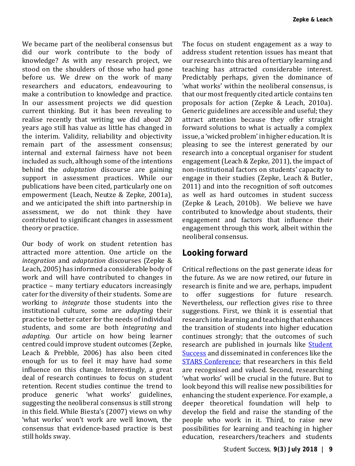We became part of the neoliberal consensus but did our work contribute to the body of knowledge? As with any research project, we stood on the shoulders of those who had gone before us. We drew on the work of many researchers and educators, endeavouring to make a contribution to knowledge and practice. In our assessment projects we did question current thinking. But it has been revealing to realise recently that writing we did about 20 years ago still has value as little has changed in the interim. Validity, reliability and objectivity remain part of the assessment consensus; internal and external fairness have not been included as such, although some of the intentions behind the *adaptation* discourse are gaining support in assessment practices. While our publications have been cited, particularly one on empowerment (Leach, Neutze & Zepke, 2001a), and we anticipated the shift into partnership in assessment, we do not think they have contributed to significant changes in assessment theory or practice.

Our body of work on student retention has attracted more attention. One article on the *integration* and *adaptation* discourses (Zepke & Leach, 2005) has informed a considerable body of work and will have contributed to changes in practice – many tertiary educators increasingly cater for the diversity of their students. Some are working to *integrate* those students into the institutional culture, some are *adapting* their practice to better cater for the needs of individual students, and some are both *integrating* and *adapting*. Our article on how being learner centred could improve student outcomes (Zepke, Leach & Prebble, 2006) has also been cited enough for us to feel it may have had some influence on this change. Interestingly, a great deal of research continues to focus on student retention. Recent studies continue the trend to produce generic 'what works' guidelines, suggesting the neoliberal consensus is still strong in this field. While Biesta's (2007) views on why 'what works' won't work are well known, the consensus that evidence-based practice is best still holds sway.

The focus on student engagement as a way to address student retention issues has meant that our research into this area of tertiary learning and teaching has attracted considerable interest. Predictably perhaps, given the dominance of 'what works' within the neoliberal consensus, is that our most frequently cited article contains ten proposals for action (Zepke & Leach, 2010a). Generic guidelines are accessible and useful; they attract attention because they offer straight forward solutions to what is actually a complex issue, a 'wicked problem' in higher education. It is pleasing to see the interest generated by our research into a conceptual organiser for student engagement (Leach & Zepke, 2011), the impact of non-institutional factors on students' capacity to engage in their studies (Zepke, Leach & Butler, 2011) and into the recognition of soft outcomes as well as hard outcomes in student success (Zepke & Leach, 2010b). We believe we have contributed to knowledge about students, their engagement and factors that influence their engagement through this work, albeit within the neoliberal consensus.

#### **Looking forward**

Critical reflections on the past generate ideas for the future. As we are now retired, our future in research is finite and we are, perhaps, impudent to offer suggestions for future research. Nevertheless, our reflection gives rise to three suggestions. First, we think it is essential that research into learning and teaching that enhances the transition of students into higher education continues strongly; that the outcomes of such research are published in journals like [Student](https://studentsuccessjournal.org/index)  [Success](https://studentsuccessjournal.org/index) and disseminated in conferences like the [STARS Conference;](http://unistars.org/) that researchers in this field are recognised and valued. Second, researching 'what works' will be crucial in the future. But to look beyond this will realise new possibilities for enhancing the student experience. For example, a deeper theoretical foundation will help to develop the field and raise the standing of the people who work in it. Third, to raise new possibilities for learning and teaching in higher education, researchers/teachers and students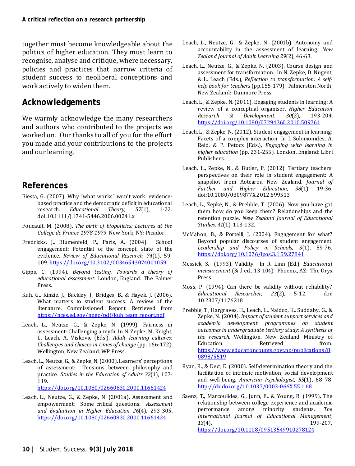together must become knowledgeable about the politics of higher education. They must learn to recognise, analyse and critique, where necessary, policies and practices that narrow criteria of student success to neoliberal conceptions and work actively to widen them.

#### **Acknowledgements**

We warmly acknowledge the many researchers and authors who contributed to the projects we worked on. Our thanks to all of you for the effort you made and your contributions to the projects and our learning.

#### **References**

- Biesta, G. (2007). Why "what works" won't work: evidencebased practice and the democratic deficit in educational<br>research. Educational Theory. 57(1). 1-22.  $Educational$ doi:10.1111/j.1741-5446.2006.00241.x
- Foucault, M. (2008). *The birth of biopolitics: Lectures at the College de France 1978-1979*. New York, NY: Picador.
- Fredricks, J., Blumenfeld, P., Paris, A. (2004). School engagement: Potential of the concept, state of the evidence. *Review of Educational Research, 74*(1), 59- 109[. https://doi.org/10.3102/00346543074001059](https://doi.org/10.3102/00346543074001059)
- Gipps, C. (1994). *Beyond testing. Towards a theory of educational assessment*. London, England: The Falmer Press.
- Kuh, G., Kinzie, J., Buckley, J., Bridges, B., & Hayek, J. (2006). What matters to student success: A review of the literature. Commissioned Report. Retrieved from [https://nces.ed.gov/npec/pdf/kuh\\_team\\_report.pdf](https://nces.ed.gov/npec/pdf/kuh_team_report.pdf)
- Leach, L., Neutze, G., & Zepke, N. (1999). Fairness in assessment: Challenging a myth. In N. Zepke, M. Knight, L. Leach, A. Viskovic (Eds.), *Adult learning cultures: Challenges and choices in times of change* (pp. 166-172). Wellington, New Zealand: WP Press.
- Leach, L., Neutze, G., & Zepke, N. (2000). Learners' perceptions of assessment: Tensions between philosophy and practice. *Studies in the Education of Adults 32*(1), 107- 119.

<https://doi.org/10.1080/02660830.2000.11661424>

Leach, L., Neutze, G., & Zepke, N. (2001a). Assessment and empowerment: Some critical questions. *Assessment and Evaluation in Higher Education 26*(4), 293-305. <https://doi.org/10.1080/02660830.2000.11661424>

- Leach, L., Neutze, G., & Zepke, N. (2001b). Autonomy and accountability in the assessment of learning. *New Zealand Journal of Adult Learning 29*(2), 46-63.
- Leach, L., Neutze, G., & Zepke, N. (2003). Course design and assessment for transformation. In N. Zepke, D. Nugent, & L. Leach (Eds.), *Reflection to transformation: A selfhelp book for teachers* (pp.155-179). Palmerston North, New Zealand: Dunmore Press.
- Leach, L., & Zepke, N. (2011). Engaging students in learning: A review of a conceptual organiser. *Higher Education Research & Development, 30*(2), 193-204. <https://doi.org/10.1080/07294360.2010.509761>
- Leach, L., & Zepke, N. (2012). Student engagement in learning: Facets of a complex interaction. In I. Solomonides, A. Reid, & P. Petocz (Eds.), *Engaging with learning in higher education* (pp. 231-255)*.* London, England: Libri Publishers.
- Leach, L., Zepke, N., & Butler, P. (2012). Tertiary teachers' perspectives on their role in student engagement: A snapshot from Aotearoa New Zealand. *Journal of Further and Higher Education,* doi:10.1080/0309877X.2012.699513
- Leach, L., Zepke, N., & Prebble, T. (2006). Now you have got them how do you keep them? Relationships and the retention puzzle. *New Zealand Journal of Educational Studies, 41*(1), 113-132.
- McMahon, B., & Portelli, J. (2004). Engagement for what? Beyond popular discourses of student engagement. *Leadership and Policy in Schools, 3*(1), 59-76. <https://doi.org/10.1076/lpos.3.1.59.27841>
- Messick, S. (1993). Validity. In R. Linn (Ed.), *Educational measurement* (3rd ed., 13-104). Phoenix, AZ: The Oryx Press.
- Moss, P. (1994). Can there be validity without reliability?<br>Educational Researcher, 23(2), 5-12. doi:  $Educational$  Researcher, 10.2307/1176218
- Prebble, T., Hargraves, H., Leach, L., Naidoo, K., Suddaby, G., & Zepke, N. (2004). *Impact of student support services and academic development programmes on student outcomes in undergraduate tertiary study: A synthesis of the research*. Wellington, New Zealand. Ministry of Education. **Retrieved** from: Education. Retrieved from: [https://www.educationcounts.govt.nz/publications/8](https://www.educationcounts.govt.nz/publications/80898/5519) [0898/5519](https://www.educationcounts.govt.nz/publications/80898/5519)
- Ryan, R., & Deci, E. (2000). Self-determination theory and the facilitation of intrinsic motivation, social development and well-being. *American Psychologist, 55*(1), 68–78. [http://dx.doi.org/10.1037/0003-066X.55.1.68](http://psycnet.apa.org/doi/10.1037/0003-066X.55.1.68)
- Saenz, T., Marcoulides, G., Junn, E., & Young, R. (1999). The relationship between college experience and academic<br>performance among minority students. The performance among minority students. *The International Journal of Educational Management*, *13*(4), 199-207. <https://doi.org/10.1108/09513549910278124>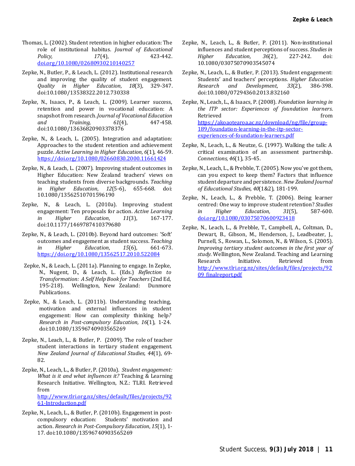- Thomas, L. (2002). Student retention in higher education: The role of institutional habitus. *Journal of Educational Policy, 17*(4), 423-442. [doi.org/10.1080/02680930210140257](https://doi.org/10.1080/02680930210140257)
- Zepke, N., Butler, P., & Leach, L. (2012). Institutional research and improving the quality of student engagement*. Quality in Higher Education, 18*(3), 329-347. doi:10.1080/13538322.2012.730338
- Zepke, N., Isaacs, P., & Leach, L. (2009). Learner success, retention and power in vocational education: A snapshot from research. *Journal of Vocational Education and Training, 61*(4), 447-458. doi:10.1080/13636820903378376
- Zepke, N., & Leach, L. (2005). Integration and adaptation: Approaches to the student retention and achievement puzzle. *Active Learning in Higher Education, 6*(1), 46-59. <https://doi.org/10.1080/02660830.2000.11661424>
- Zepke, N., & Leach, L. (2007). Improving student outcomes in Higher Education: New Zealand teachers' views on teaching students from diverse backgrounds. *Teaching in Higher Education, 12*(5-6), 655-668. doi: 10.1080/13562510701596190
- Zepke, N., & Leach, L. (2010a). Improving student engagement: Ten proposals for action. *Active Learning in Higher Education*, doi:10.1177/1469787410379680
- Zepke, N., & Leach, L. (2010b). Beyond hard outcomes: 'Soft' outcomes and engagement as student success. *Teaching in Higher Education*, *15*(6), 661-673. <https://doi.org/10.1080/13562517.2010.522084>
- Zepke, N., & Leach, L. (2011a). Planning to engage. In Zepke, N., Nugent, D., & Leach, L. (Eds.) *Reflection to Transformation: A Self Help Book for Teachers* (2nd Ed, 195-218). Wellington, New Zealand: Dunmore Publications.
- Zepke, N., & Leach, L. (2011b). Understanding teaching, motivation and external influences in student engagement: How can complexity thinking help*? Research in Post-compulsory Education, 16*(1), 1-24. doi:10.1080/13596740903565269
- Zepke, N., Leach, L., & Butler, P. (2009). The role of teacher student interactions in tertiary student engagement. *New Zealand Journal of Educational Studies, 44*(1), 69- 82.
- Zepke, N., Leach, L., & Butler, P. (2010a).*Student engagement: What is it and what influences it?* Teaching & Learning Research Initiative. Wellington, N.Z.: TLRI. Retrieved from [http://www.tlri.org.nz/sites/default/files/projects/92](http://www.tlri.org.nz/sites/default/files/projects/9261-Introduction.pdf)

[61-Introduction.pdf](http://www.tlri.org.nz/sites/default/files/projects/9261-Introduction.pdf)

Zepke, N., Leach, L., & Butler, P. (2010b). Engagement in post-<br>compulsory education: Students' motivation and Students' motivation and action. *Research in Post-Compulsory Education*, *15*(1), 1- 17. doi:10.1080/13596740903565269

- Zepke, N., Leach, L., & Butler, P. (2011). Non-institutional influences and student perceptions of success. *Studies in*   $Education.$ 10.1080/03075070903545074
- Zepke, N., Leach, L., & Butler, P. (2013). Student engagement: Students' and teachers' perceptions. *Higher Education*   $De$ *velopment,* doi:10.1080/07294360.2013.832160
- Zepke, N., Leach, L., & Isaacs, P. (2008). *Foundation learning in the ITP sector: Experiences of foundation learners*. Retrieved the controller of the second from the second from  $f(x)$ [https://akoaotearoa.ac.nz/download/ng/file/group-](https://akoaotearoa.ac.nz/download/ng/file/group-189/foundation-learning-in-the-itp-sector-experiences-of-foundation-learners.pdf)[189/foundation-learning-in-the-itp-sector](https://akoaotearoa.ac.nz/download/ng/file/group-189/foundation-learning-in-the-itp-sector-experiences-of-foundation-learners.pdf)[experiences-of-foundation-learners.pdf](https://akoaotearoa.ac.nz/download/ng/file/group-189/foundation-learning-in-the-itp-sector-experiences-of-foundation-learners.pdf)
- Zepke, N., Leach, L., & Neutze, G. (1997). Walking the talk: A critical examination of an assessment partnership. *Connections, 46*(1), 35-45.
- Zepke, N., Leach, L., & Prebble, T. (2005). Now you've got them, can you expect to keep them? Factors that influence student departure and persistence. *New Zealand Journal of Educational Studies, 40*(1&2), 181-199.
- Zepke, N., Leach, L., & Prebble, T. (2006). Being learner centred: One way to improve student retention? *Studies*   $Education$ . [doi.org/10.1080/03075070600923418](https://doi.org/10.1080/03075070600923418)
- Zepke, N., Leach, L., & Prebble, T., Campbell, A., Coltman, D., Dewart, B., Gibson, M., Henderson, J., Leadbeater, J., Purnell, S., Rowan, L., Solomon, N., & Wilson, S. (2005). *Improving tertiary student outcomes in the first year of study*. Wellington, New Zealand. Teaching and Learning Research Initiative. Retrieved from [http://www.tlri.org.nz/sites/default/files/projects/92](http://www.tlri.org.nz/sites/default/files/projects/9209_finalreport.pdf) [09\\_finalreport.pdf](http://www.tlri.org.nz/sites/default/files/projects/9209_finalreport.pdf)